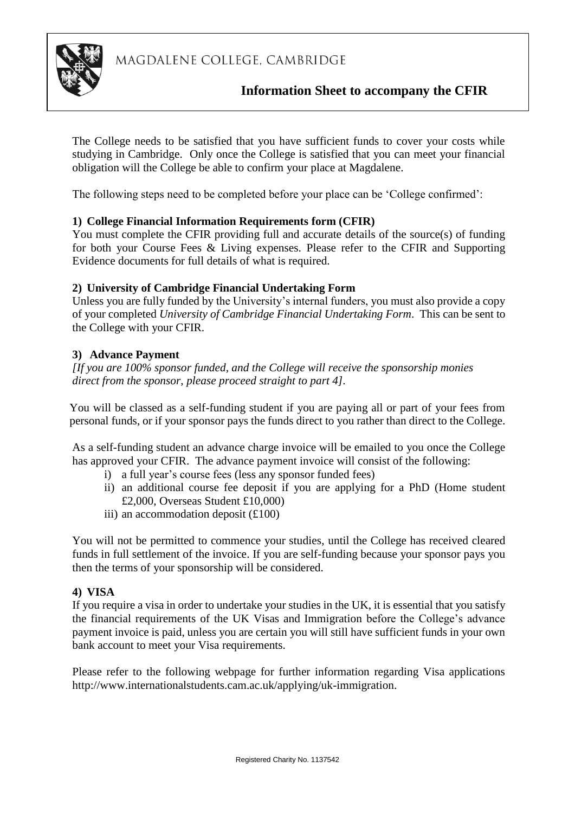

# **Information Sheet to accompany the CFIR**

The College needs to be satisfied that you have sufficient funds to cover your costs while studying in Cambridge. Only once the College is satisfied that you can meet your financial obligation will the College be able to confirm your place at Magdalene.

The following steps need to be completed before your place can be 'College confirmed':

# **1) College Financial Information Requirements form (CFIR)**

You must complete the CFIR providing full and accurate details of the source(s) of funding for both your Course Fees & Living expenses. Please refer to the CFIR and Supporting Evidence documents for full details of what is required.

# **2) University of Cambridge Financial Undertaking Form**

Unless you are fully funded by the University's internal funders, you must also provide a copy of your completed *University of Cambridge Financial Undertaking Form*. This can be sent to the College with your CFIR.

# **3) Advance Payment**

*[If you are 100% sponsor funded, and the College will receive the sponsorship monies direct from the sponsor, please proceed straight to part 4].*

You will be classed as a self-funding student if you are paying all or part of your fees from personal funds, or if your sponsor pays the funds direct to you rather than direct to the College.

As a self-funding student an advance charge invoice will be emailed to you once the College has approved your CFIR. The advance payment invoice will consist of the following:

- i) a full year's course fees (less any sponsor funded fees)
- ii) an additional course fee deposit if you are applying for a PhD (Home student £2,000, Overseas Student £10,000)
- iii) an accommodation deposit (£100)

You will not be permitted to commence your studies, until the College has received cleared funds in full settlement of the invoice. If you are self-funding because your sponsor pays you then the terms of your sponsorship will be considered.

#### **4) VISA**

If you require a visa in order to undertake your studies in the UK, it is essential that you satisfy the financial requirements of the UK Visas and Immigration before the College's advance payment invoice is paid, unless you are certain you will still have sufficient funds in your own bank account to meet your Visa requirements.

Please refer to the following webpage for further information regarding Visa applications [http://www.internationalstudents.cam.ac.uk/applying/uk-immigration.](http://www.internationalstudents.cam.ac.uk/applying/uk-immigration)